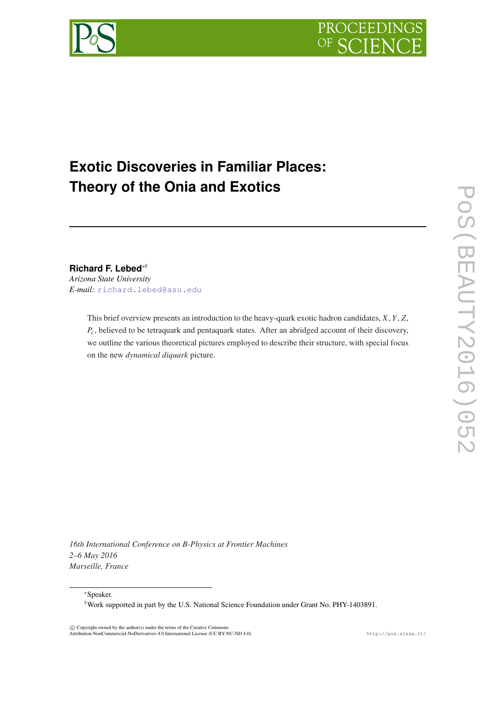



# **Exotic Discoveries in Familiar Places: Theory of the Onia and Exotics**

# **Richard F. Lebed**∗†

*Arizona State University E-mail:* [richard.lebed@asu.edu](mailto:richard.lebed@asu.edu)

> This brief overview presents an introduction to the heavy-quark exotic hadron candidates, *X*, *Y*, *Z*, *Pc*, believed to be tetraquark and pentaquark states. After an abridged account of their discovery, we outline the various theoretical pictures employed to describe their structure, with special focus on the new *dynamical diquark* picture.

*16th International Conference on B-Physics at Frontier Machines 2–6 May 2016 Marseille, France*

<sup>∗</sup>Speaker.

†Work supported in part by the U.S. National Science Foundation under Grant No. PHY-1403891.

 c Copyright owned by the author(s) under the terms of the Creative Commons Attribution-NonCommercial-NoDerivatives 4.0 International License (CC BY-NC-ND 4.0). http://pos.sissa.it/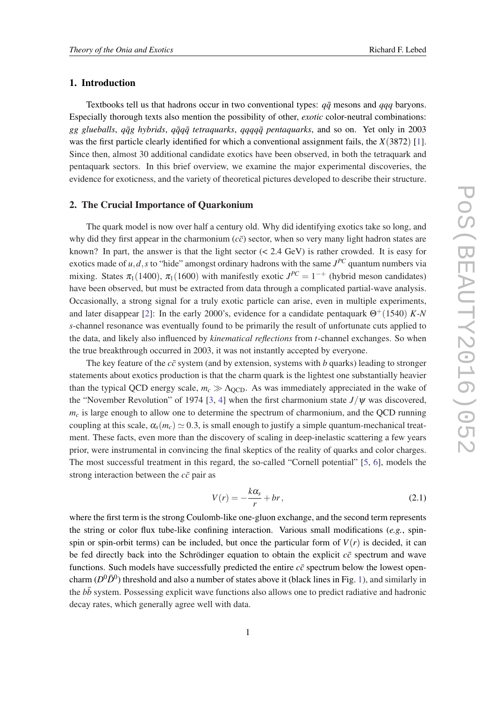# 1. Introduction

Textbooks tell us that hadrons occur in two conventional types:  $q\bar{q}$  mesons and  $qqq$  baryons. Especially thorough texts also mention the possibility of other, *exotic* color-neutral combinations: *gg glueballs*, *qq̃g hybrids*, *qq̃qq̄ tetraquarks*, *qqqqq̄ pentaquarks*, and so on. Yet only in 2003 was the first particle clearly identified for which a conventional assignment fails, the *X*(3872) [\[1\]](#page-6-0). Since then, almost 30 additional candidate exotics have been observed, in both the tetraquark and pentaquark sectors. In this brief overview, we examine the major experimental discoveries, the evidence for exoticness, and the variety of theoretical pictures developed to describe their structure.

#### 2. The Crucial Importance of Quarkonium

The quark model is now over half a century old. Why did identifying exotics take so long, and why did they first appear in the charmonium  $(c\bar{c})$  sector, when so very many light hadron states are known? In part, the answer is that the light sector  $( $2.4 \text{ GeV}$ )$  is rather crowded. It is easy for exotics made of  $u, d, s$  to "hide" amongst ordinary hadrons with the same  $J^{PC}$  quantum numbers via mixing. States  $\pi_1(1400)$ ,  $\pi_1(1600)$  with manifestly exotic  $J^{PC} = 1^{-+}$  (hybrid meson candidates) have been observed, but must be extracted from data through a complicated partial-wave analysis. Occasionally, a strong signal for a truly exotic particle can arise, even in multiple experiments, and later disappear [\[2\]](#page-6-0): In the early 2000's, evidence for a candidate pentaquark  $\Theta^+(1540)$  *K-N s*-channel resonance was eventually found to be primarily the result of unfortunate cuts applied to the data, and likely also influenced by *kinematical reflections* from *t*-channel exchanges. So when the true breakthrough occurred in 2003, it was not instantly accepted by everyone.

The key feature of the  $c\bar{c}$  system (and by extension, systems with *b* quarks) leading to stronger statements about exotics production is that the charm quark is the lightest one substantially heavier than the typical QCD energy scale,  $m_c \gg \Lambda_{\text{QCD}}$ . As was immediately appreciated in the wake of the "November Revolution" of 1974 [[3](#page-7-0), [4\]](#page-7-0) when the first charmonium state  $J/\psi$  was discovered,  $m<sub>c</sub>$  is large enough to allow one to determine the spectrum of charmonium, and the QCD running coupling at this scale,  $\alpha_s(m_c) \simeq 0.3$ , is small enough to justify a simple quantum-mechanical treatment. These facts, even more than the discovery of scaling in deep-inelastic scattering a few years prior, were instrumental in convincing the final skeptics of the reality of quarks and color charges. The most successful treatment in this regard, the so-called "Cornell potential" [[5](#page-7-0), [6\]](#page-7-0), models the strong interaction between the  $c\bar{c}$  pair as

$$
V(r) = -\frac{k\alpha_s}{r} + br,\tag{2.1}
$$

where the first term is the strong Coulomb-like one-gluon exchange, and the second term represents the string or color flux tube-like confining interaction. Various small modifications (*e.g.*, spinspin or spin-orbit terms) can be included, but once the particular form of  $V(r)$  is decided, it can be fed directly back into the Schrödinger equation to obtain the explicit  $c\bar{c}$  spectrum and wave functions. Such models have successfully predicted the entire  $c\bar{c}$  spectrum below the lowest opencharm  $(D^0\bar{D}^0)$  threshold and also a number of states above it (black lines in Fig. [1](#page-2-0)), and similarly in the  $b\bar{b}$  system. Possessing explicit wave functions also allows one to predict radiative and hadronic decay rates, which generally agree well with data.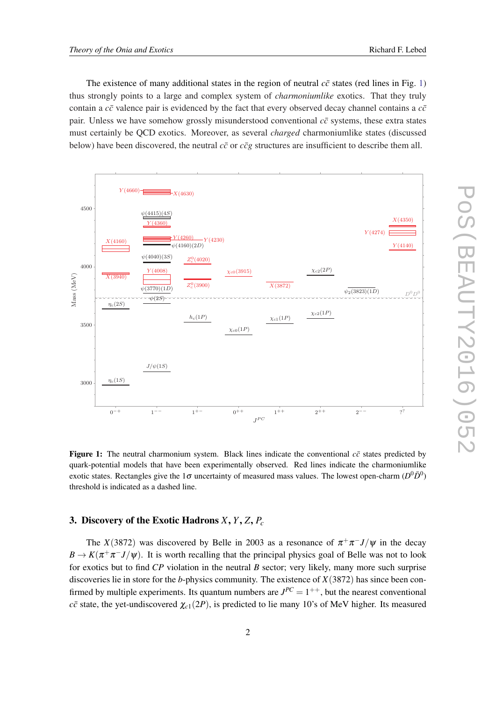<span id="page-2-0"></span>The existence of many additional states in the region of neutral  $c\bar{c}$  states (red lines in Fig. 1) thus strongly points to a large and complex system of *charmoniumlike* exotics. That they truly contain a  $c\bar{c}$  valence pair is evidenced by the fact that every observed decay channel contains a  $c\bar{c}$ pair. Unless we have somehow grossly misunderstood conventional  $c\bar{c}$  systems, these extra states must certainly be QCD exotics. Moreover, as several *charged* charmoniumlike states (discussed below) have been discovered, the neutral  $c\bar{c}$  or  $c\bar{c}g$  structures are insufficient to describe them all.



Figure 1: The neutral charmonium system. Black lines indicate the conventional  $c\bar{c}$  states predicted by quark-potential models that have been experimentally observed. Red lines indicate the charmoniumlike exotic states. Rectangles give the 1 $\sigma$  uncertainty of measured mass values. The lowest open-charm ( $D^0\bar{D}^0$ ) threshold is indicated as a dashed line.

## 3. Discovery of the Exotic Hadrons *X*, *Y*, *Z*, *P<sup>c</sup>*

The *X*(3872) was discovered by Belle in 2003 as a resonance of  $\pi^{+}\pi^{-}J/\psi$  in the decay  $B \to K(\pi^+\pi^- J/\psi)$ . It is worth recalling that the principal physics goal of Belle was not to look for exotics but to find *CP* violation in the neutral *B* sector; very likely, many more such surprise discoveries lie in store for the *b*-physics community. The existence of *X*(3872) has since been confirmed by multiple experiments. Its quantum numbers are  $J^{PC} = 1^{++}$ , but the nearest conventional *c* $\bar{c}$  state, the yet-undiscovered  $\chi_{c1}(2P)$ , is predicted to lie many 10's of MeV higher. Its measured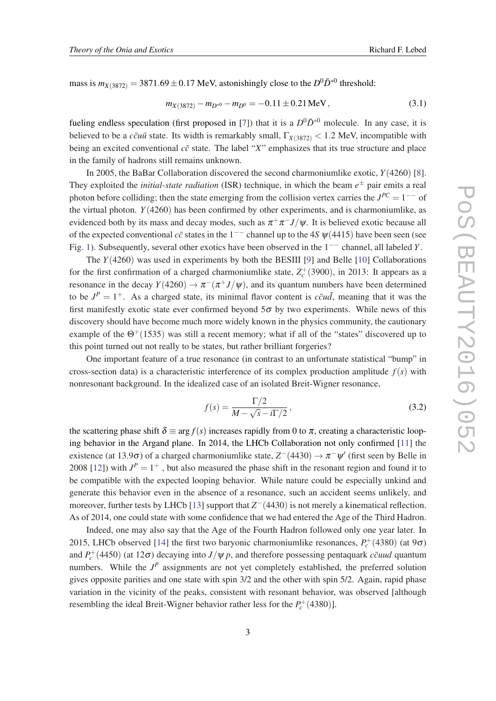<span id="page-3-0"></span>mass is  $m_{X(3872)} = 3871.69 \pm 0.17$  MeV, astonishingly close to the  $D^0 \bar{D}^{*0}$  threshold:

$$
m_{X(3872)} - m_{D^{*0}} - m_{D^0} = -0.11 \pm 0.21 \,\text{MeV},\tag{3.1}
$$

fueling endless speculation (first proposed in [[7](#page-7-0)]) that it is a  $D^0\overline{D}^{*0}$  molecule. In any case, it is believed to be a  $c\bar{c}u\bar{u}$  state. Its width is remarkably small,  $\Gamma_{X(3872)} < 1.2$  MeV, incompatible with being an excited conventional  $c\bar{c}$  state. The label "*X*" emphasizes that its true structure and place in the family of hadrons still remains unknown.

In 2005, the BaBar Collaboration discovered the second charmoniumlike exotic, *Y*(4260) [\[8\]](#page-7-0). They exploited the *initial-state radiation* (ISR) technique, in which the beam  $e^{\pm}$  pair emits a real photon before colliding; then the state emerging from the collision vertex carries the  $J^{PC} = 1^{--}$  of the virtual photon. *Y*(4260) has been confirmed by other experiments, and is charmoniumlike, as evidenced both by its mass and decay modes, such as  $\pi^+\pi^- J/\psi$ . It is believed exotic because all of the expected conventional  $c\bar{c}$  states in the 1<sup>--</sup> channel up to the 4*S*  $\psi$ (4415) have been seen (see Fig. [1\)](#page-2-0). Subsequently, several other exotics have been observed in the 1−− channel, all labeled *Y*.

The *Y*(4260) was used in experiments by both the BESIII [\[9\]](#page-7-0) and Belle [[10\]](#page-7-0) Collaborations for the first confirmation of a charged charmoniumlike state,  $Z_c^+(3900)$ , in 2013: It appears as a resonance in the decay  $Y(4260) \to \pi^{-}(\pi^{+}J/\psi)$ , and its quantum numbers have been determined to be  $J^P = 1^+$ . As a charged state, its minimal flavor content is  $c\bar{c}u\bar{d}$ , meaning that it was the first manifestly exotic state ever confirmed beyond  $5\sigma$  by two experiments. While news of this discovery should have become much more widely known in the physics community, the cautionary example of the  $\Theta^+(1535)$  was still a recent memory; what if all of the "states" discovered up to this point turned out not really to be states, but rather brilliant forgeries?

One important feature of a true resonance (in contrast to an unfortunate statistical "bump" in cross-section data) is a characteristic interference of its complex production amplitude  $f(s)$  with nonresonant background. In the idealized case of an isolated Breit-Wigner resonance,

$$
f(s) = \frac{\Gamma/2}{M - \sqrt{s} - i\Gamma/2},\tag{3.2}
$$

the scattering phase shift  $\delta \equiv \arg f(s)$  increases rapidly from 0 to  $\pi$ , creating a characteristic looping behavior in the Argand plane. In 2014, the LHCb Collaboration not only confirmed [[11\]](#page-7-0) the existence (at 13.9 $\sigma$ ) of a charged charmoniumlike state,  $Z^-(4430) \to \pi^- \psi'$  (first seen by Belle in 2008 [[12\]](#page-7-0)) with  $J^P = 1^+$ , but also measured the phase shift in the resonant region and found it to be compatible with the expected looping behavior. While nature could be especially unkind and generate this behavior even in the absence of a resonance, such an accident seems unlikely, and moreover, further tests by LHCb [[13\]](#page-7-0) support that  $Z$ <sup>-</sup>(4430) is not merely a kinematical reflection. As of 2014, one could state with some confidence that we had entered the Age of the Third Hadron.

Indeed, one may also say that the Age of the Fourth Hadron followed only one year later. In 2015, LHCb observed [\[14](#page-7-0)] the first two baryonic charmoniumlike resonances,  $P_c^+(4380)$  (at  $9\sigma$ ) and  $P_c^+(4450)$  (at 12 $\sigma$ ) decaying into  $J/\psi p$ , and therefore possessing pentaquark *ccuud* quantum numbers. While the  $J<sup>P</sup>$  assignments are not yet completely established, the preferred solution gives opposite parities and one state with spin 3/2 and the other with spin 5/2. Again, rapid phase variation in the vicinity of the peaks, consistent with resonant behavior, was observed [although resembling the ideal Breit-Wigner behavior rather less for the  $P_c^+(4380)$ ].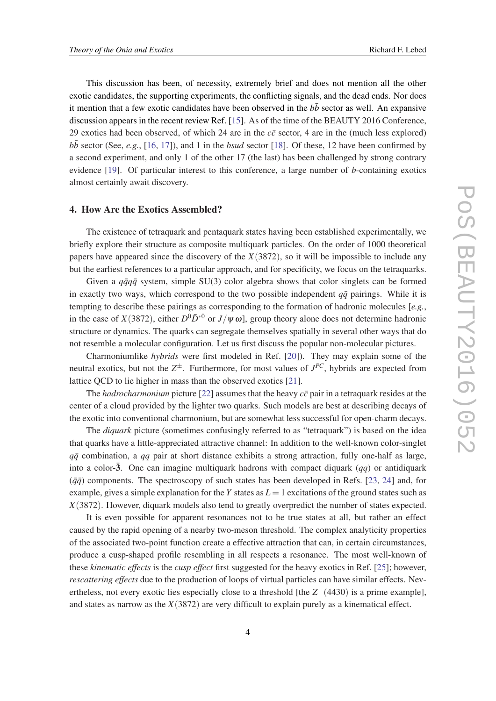This discussion has been, of necessity, extremely brief and does not mention all the other exotic candidates, the supporting experiments, the conflicting signals, and the dead ends. Nor does it mention that a few exotic candidates have been observed in the  $b\bar{b}$  sector as well. An expansive discussion appears in the recent review Ref. [\[15\]](#page-7-0). As of the time of the BEAUTY 2016 Conference, 29 exotics had been observed, of which 24 are in the  $c\bar{c}$  sector, 4 are in the (much less explored)  $b\bar{b}$  sector (See, *e.g.*, [\[16](#page-7-0), [17\]](#page-7-0)), and 1 in the *bsud* sector [[18\]](#page-7-0). Of these, 12 have been confirmed by a second experiment, and only 1 of the other 17 (the last) has been challenged by strong contrary evidence [\[19](#page-7-0)]. Of particular interest to this conference, a large number of *b*-containing exotics almost certainly await discovery.

#### 4. How Are the Exotics Assembled?

The existence of tetraquark and pentaquark states having been established experimentally, we briefly explore their structure as composite multiquark particles. On the order of 1000 theoretical papers have appeared since the discovery of the *X*(3872), so it will be impossible to include any but the earliest references to a particular approach, and for specificity, we focus on the tetraquarks.

Given a  $q\bar{q}q\bar{q}$  system, simple SU(3) color algebra shows that color singlets can be formed in exactly two ways, which correspond to the two possible independent  $q\bar{q}$  pairings. While it is tempting to describe these pairings as corresponding to the formation of hadronic molecules [*e.g.*, in the case of *X*(3872), either  $D^0\bar{D}^{*0}$  or *J*/ $\psi$   $\omega$ ], group theory alone does not determine hadronic structure or dynamics. The quarks can segregate themselves spatially in several other ways that do not resemble a molecular configuration. Let us first discuss the popular non-molecular pictures.

Charmoniumlike *hybrids* were first modeled in Ref. [[20\]](#page-7-0)). They may explain some of the neutral exotics, but not the  $Z^{\pm}$ . Furthermore, for most values of  $J^{PC}$ , hybrids are expected from lattice QCD to lie higher in mass than the observed exotics [\[21](#page-7-0)].

The *hadrocharmonium* picture [\[22\]](#page-7-0) assumes that the heavy  $c\bar{c}$  pair in a tetraquark resides at the center of a cloud provided by the lighter two quarks. Such models are best at describing decays of the exotic into conventional charmonium, but are somewhat less successful for open-charm decays.

The *diquark* picture (sometimes confusingly referred to as "tetraquark") is based on the idea that quarks have a little-appreciated attractive channel: In addition to the well-known color-singlet  $q\bar{q}$  combination, a  $qq$  pair at short distance exhibits a strong attraction, fully one-half as large, into a color- $\bar{3}$ . One can imagine multiquark hadrons with compact diquark (*qq*) or antidiquark  $(\bar{q}\bar{q})$  components. The spectroscopy of such states has been developed in Refs. [\[23,](#page-7-0) [24](#page-7-0)] and, for example, gives a simple explanation for the *Y* states as  $L = 1$  excitations of the ground states such as *X*(3872). However, diquark models also tend to greatly overpredict the number of states expected.

It is even possible for apparent resonances not to be true states at all, but rather an effect caused by the rapid opening of a nearby two-meson threshold. The complex analyticity properties of the associated two-point function create a effective attraction that can, in certain circumstances, produce a cusp-shaped profile resembling in all respects a resonance. The most well-known of these *kinematic effects* is the *cusp effect* first suggested for the heavy exotics in Ref. [[25](#page-7-0)]; however, *rescattering effects* due to the production of loops of virtual particles can have similar effects. Nevertheless, not every exotic lies especially close to a threshold [the  $Z^-(4430)$  is a prime example], and states as narrow as the *X*(3872) are very difficult to explain purely as a kinematical effect.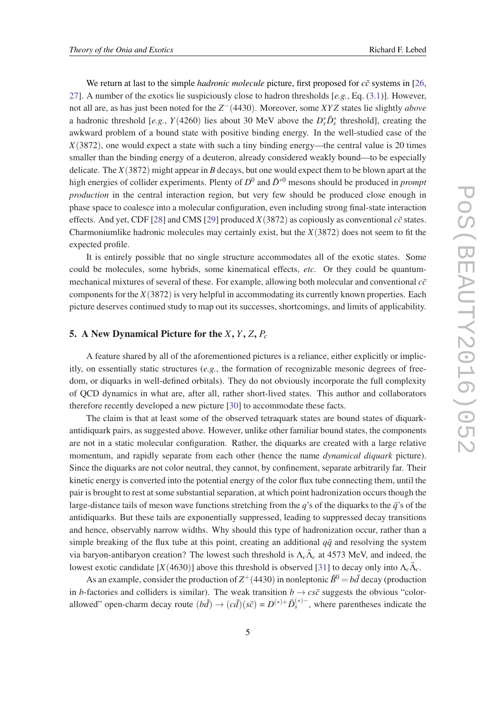We return at last to the simple *hadronic molecule* picture, first proposed for  $c\bar{c}$  systems in [\[26](#page-7-0), [27](#page-7-0)]. A number of the exotics lie suspiciously close to hadron thresholds [*e.g.*, Eq. [\(3.1](#page-3-0))]. However, not all are, as has just been noted for the *Z* <sup>−</sup>(4430). Moreover, some *XY Z* states lie slightly *above* a hadronic threshold [*e.g.*,  $Y(4260)$  lies about 30 MeV above the  $D_s^*\bar{D}_s^*$  threshold], creating the awkward problem of a bound state with positive binding energy. In the well-studied case of the *X*(3872), one would expect a state with such a tiny binding energy—the central value is 20 times smaller than the binding energy of a deuteron, already considered weakly bound—to be especially delicate. The *X*(3872) might appear in *B* decays, but one would expect them to be blown apart at the high energies of collider experiments. Plenty of  $D^0$  and  $\bar{D}^{*0}$  mesons should be produced in *prompt production* in the central interaction region, but very few should be produced close enough in phase space to coalesce into a molecular configuration, even including strong final-state interaction effects. And yet, CDF [[28](#page-7-0)] and CMS [\[29](#page-8-0)] produced  $X(3872)$  as copiously as conventional  $c\bar{c}$  states. Charmoniumlike hadronic molecules may certainly exist, but the *X*(3872) does not seem to fit the expected profile.

It is entirely possible that no single structure accommodates all of the exotic states. Some could be molecules, some hybrids, some kinematical effects, *etc.* Or they could be quantummechanical mixtures of several of these. For example, allowing both molecular and conventional  $c\bar{c}$ components for the *X*(3872) is very helpful in accommodating its currently known properties. Each picture deserves continued study to map out its successes, shortcomings, and limits of applicability.

# 5. A New Dynamical Picture for the *X*, *Y*, *Z*, *P<sup>c</sup>*

A feature shared by all of the aforementioned pictures is a reliance, either explicitly or implicitly, on essentially static structures (*e.g.*, the formation of recognizable mesonic degrees of freedom, or diquarks in well-defined orbitals). They do not obviously incorporate the full complexity of QCD dynamics in what are, after all, rather short-lived states. This author and collaborators therefore recently developed a new picture [\[30](#page-8-0)] to accommodate these facts.

The claim is that at least some of the observed tetraquark states are bound states of diquarkantidiquark pairs, as suggested above. However, unlike other familiar bound states, the components are not in a static molecular configuration. Rather, the diquarks are created with a large relative momentum, and rapidly separate from each other (hence the name *dynamical diquark* picture). Since the diquarks are not color neutral, they cannot, by confinement, separate arbitrarily far. Their kinetic energy is converted into the potential energy of the color flux tube connecting them, until the pair is brought to rest at some substantial separation, at which point hadronization occurs though the large-distance tails of meson wave functions stretching from the *q*'s of the diquarks to the  $\bar{q}$ 's of the antidiquarks. But these tails are exponentially suppressed, leading to suppressed decay transitions and hence, observably narrow widths. Why should this type of hadronization occur, rather than a simple breaking of the flux tube at this point, creating an additional  $q\bar{q}$  and resolving the system via baryon-antibaryon creation? The lowest such threshold is  $\Lambda_c \bar{\Lambda}_c$  at 4573 MeV, and indeed, the lowest exotic candidate [ $X(4630)$ ] above this threshold is observed [[31\]](#page-8-0) to decay only into  $\Lambda_c \bar{\Lambda}_c$ .

As an example, consider the production of  $Z^+(4430)$  in nonleptonic  $\bar{B}^0 = b\bar{d}$  decay (production in *b*-factories and colliders is similar). The weak transition  $b \rightarrow c s \bar{c}$  suggests the obvious "colorallowed" open-charm decay route  $(b\bar{d}) \rightarrow (c\bar{d})(s\bar{c}) = D^{(*)+} \bar{D}_{s}^{(*)-}$ , where parentheses indicate the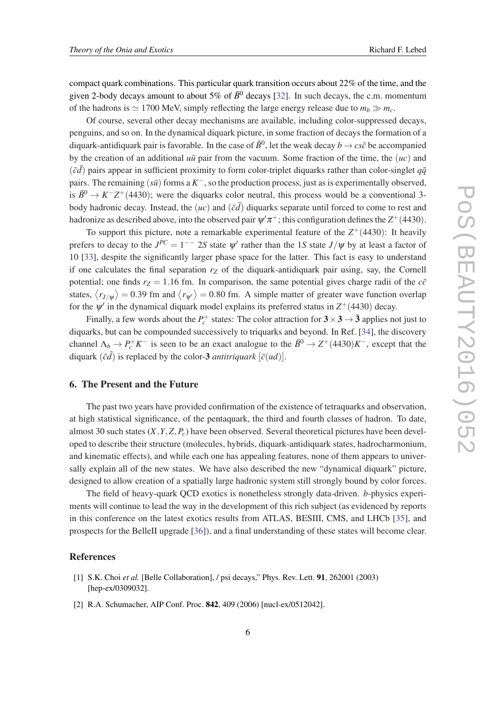<span id="page-6-0"></span>compact quark combinations. This particular quark transition occurs about 22% of the time, and the given 2-body decays amount to about 5% of  $\bar{B}^0$  decays [[32\]](#page-8-0). In such decays, the c.m. momentum of the hadrons is  $\simeq$  1700 MeV, simply reflecting the large energy release due to  $m_b \gg m_c$ .

Of course, several other decay mechanisms are available, including color-suppressed decays, penguins, and so on. In the dynamical diquark picture, in some fraction of decays the formation of a diquark-antidiquark pair is favorable. In the case of  $\bar{B}^0$ , let the weak decay  $b \to c s \bar{c}$  be accompanied by the creation of an additional  $u\bar{u}$  pair from the vacuum. Some fraction of the time, the  $(uc)$  and  $(\bar{c}\bar{d})$  pairs appear in sufficient proximity to form color-triplet diquarks rather than color-singlet  $q\bar{q}$ pairs. The remaining  $(s\bar{u})$  forms a  $K^-$ , so the production process, just as is experimentally observed, is  $\bar{B}^0 \to K^-Z^+(4430)$ ; were the diquarks color neutral, this process would be a conventional 3body hadronic decay. Instead, the ( $uc$ ) and ( $\bar{c}\bar{d}$ ) diquarks separate until forced to come to rest and hadronize as described above, into the observed pair  $\psi^\prime\pi^+$ ; this configuration defines the  $Z^+(4430)$ .

To support this picture, note a remarkable experimental feature of the  $Z^+(4430)$ : It heavily prefers to decay to the  $J^{PC} = 1^{--}$  2*S* state  $\psi'$  rather than the 1*S* state  $J/\psi$  by at least a factor of 10 [\[33](#page-8-0)], despite the significantly larger phase space for the latter. This fact is easy to understand if one calculates the final separation  $r<sub>Z</sub>$  of the diquark-antidiquark pair using, say, the Cornell potential; one finds  $r_Z = 1.16$  fm. In comparison, the same potential gives charge radii of the  $c\bar{c}$ states,  $\langle r_{J/\psi} \rangle = 0.39$  fm and  $\langle r_{\psi'} \rangle = 0.80$  fm. A simple matter of greater wave function overlap for the  $\psi'$  in the dynamical diquark model explains its preferred status in  $Z^+(4430)$  decay.

Finally, a few words about the  $P_c^+$  states: The color attraction for  $3 \times 3 \rightarrow \bar{3}$  applies not just to diquarks, but can be compounded successively to triquarks and beyond. In Ref. [\[34\]](#page-8-0), the discovery channel  $\Lambda_b \to P_c^+ K^-$  is seen to be an exact analogue to the  $\bar{B}^0 \to Z^+(4430)K^-$ , except that the diquark  $(\bar{c}\bar{d})$  is replaced by the color-3 *antitriquark*  $[\bar{c}(ud)]$ .

### 6. The Present and the Future

The past two years have provided confirmation of the existence of tetraquarks and observation, at high statistical significance, of the pentaquark, the third and fourth classes of hadron. To date, almost 30 such states (*X*,*Y*,*Z*,*Pc*) have been observed. Several theoretical pictures have been developed to describe their structure (molecules, hybrids, diquark-antidiquark states, hadrocharmonium, and kinematic effects), and while each one has appealing features, none of them appears to universally explain all of the new states. We have also described the new "dynamical diquark" picture, designed to allow creation of a spatially large hadronic system still strongly bound by color forces.

The field of heavy-quark QCD exotics is nonetheless strongly data-driven. *b*-physics experiments will continue to lead the way in the development of this rich subject (as evidenced by reports in this conference on the latest exotics results from ATLAS, BESIII, CMS, and LHCb [\[35](#page-8-0)], and prospects for the BelleII upgrade [[36\]](#page-8-0)), and a final understanding of these states will become clear.

### References

- [1] S.K. Choi *et al.* [Belle Collaboration], / psi decays," Phys. Rev. Lett. 91, 262001 (2003) [hep-ex/0309032].
- [2] R.A. Schumacher, AIP Conf. Proc. 842, 409 (2006) [nucl-ex/0512042].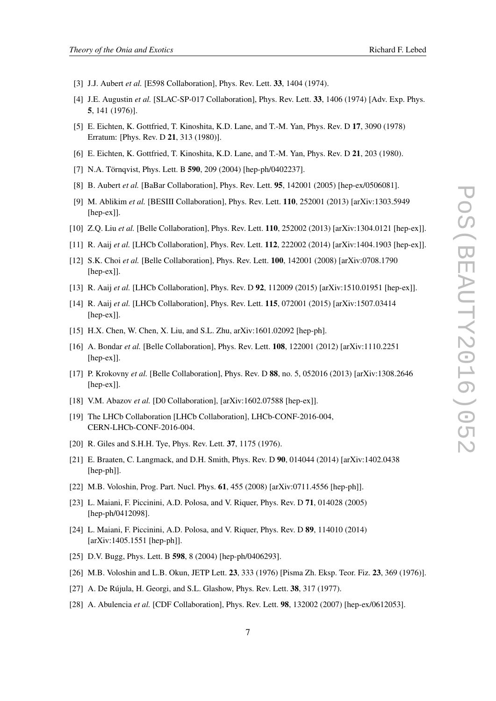- <span id="page-7-0"></span>[3] J.J. Aubert *et al.* [E598 Collaboration], Phys. Rev. Lett. **33**, 1404 (1974).
- [4] J.E. Augustin *et al.* [SLAC-SP-017 Collaboration], Phys. Rev. Lett. 33, 1406 (1974) [Adv. Exp. Phys. 5, 141 (1976)].
- [5] E. Eichten, K. Gottfried, T. Kinoshita, K.D. Lane, and T.-M. Yan, Phys. Rev. D 17, 3090 (1978) Erratum: [Phys. Rev. D 21, 313 (1980)].
- [6] E. Eichten, K. Gottfried, T. Kinoshita, K.D. Lane, and T.-M. Yan, Phys. Rev. D 21, 203 (1980).
- [7] N.A. Törnqvist, Phys. Lett. B 590, 209 (2004) [hep-ph/0402237].
- [8] B. Aubert *et al.* [BaBar Collaboration], Phys. Rev. Lett. 95, 142001 (2005) [hep-ex/0506081].
- [9] M. Ablikim *et al.* [BESIII Collaboration], Phys. Rev. Lett. 110, 252001 (2013) [arXiv:1303.5949 [hep-ex]].
- [10] Z.Q. Liu *et al.* [Belle Collaboration], Phys. Rev. Lett. 110, 252002 (2013) [arXiv:1304.0121 [hep-ex]].
- [11] R. Aaij *et al.* [LHCb Collaboration], Phys. Rev. Lett. 112, 222002 (2014) [arXiv:1404.1903 [hep-ex]].
- [12] S.K. Choi *et al.* [Belle Collaboration], Phys. Rev. Lett. 100, 142001 (2008) [arXiv:0708.1790 [hep-ex]].
- [13] R. Aaij *et al.* [LHCb Collaboration], Phys. Rev. D **92**, 112009 (2015) [arXiv:1510.01951 [hep-ex]].
- [14] R. Aaij *et al.* [LHCb Collaboration], Phys. Rev. Lett. 115, 072001 (2015) [arXiv:1507.03414 [hep-ex]].
- [15] H.X. Chen, W. Chen, X. Liu, and S.L. Zhu, arXiv:1601.02092 [hep-ph].
- [16] A. Bondar *et al.* [Belle Collaboration], Phys. Rev. Lett. 108, 122001 (2012) [arXiv:1110.2251 [hep-ex]].
- [17] P. Krokovny *et al.* [Belle Collaboration], Phys. Rev. D 88, no. 5, 052016 (2013) [arXiv:1308.2646 [hep-ex]].
- [18] V.M. Abazov *et al.* [D0 Collaboration], [arXiv:1602.07588 [hep-ex]].
- [19] The LHCb Collaboration [LHCb Collaboration], LHCb-CONF-2016-004, CERN-LHCb-CONF-2016-004.
- [20] R. Giles and S.H.H. Tye, Phys. Rev. Lett. 37, 1175 (1976).
- [21] E. Braaten, C. Langmack, and D.H. Smith, Phys. Rev. D 90, 014044 (2014) [arXiv:1402.0438 [hep-ph]].
- [22] M.B. Voloshin, Prog. Part. Nucl. Phys. **61**, 455 (2008) [arXiv:0711.4556 [hep-ph]].
- [23] L. Maiani, F. Piccinini, A.D. Polosa, and V. Riquer, Phys. Rev. D 71, 014028 (2005) [hep-ph/0412098].
- [24] L. Maiani, F. Piccinini, A.D. Polosa, and V. Riquer, Phys. Rev. D 89, 114010 (2014) [arXiv:1405.1551 [hep-ph]].
- [25] D.V. Bugg, Phys. Lett. B **598**, 8 (2004) [hep-ph/0406293].
- [26] M.B. Voloshin and L.B. Okun, JETP Lett. 23, 333 (1976) [Pisma Zh. Eksp. Teor. Fiz. 23, 369 (1976)].
- [27] A. De Rújula, H. Georgi, and S.L. Glashow, Phys. Rev. Lett. 38, 317 (1977).
- [28] A. Abulencia *et al.* [CDF Collaboration], Phys. Rev. Lett. 98, 132002 (2007) [hep-ex/0612053].